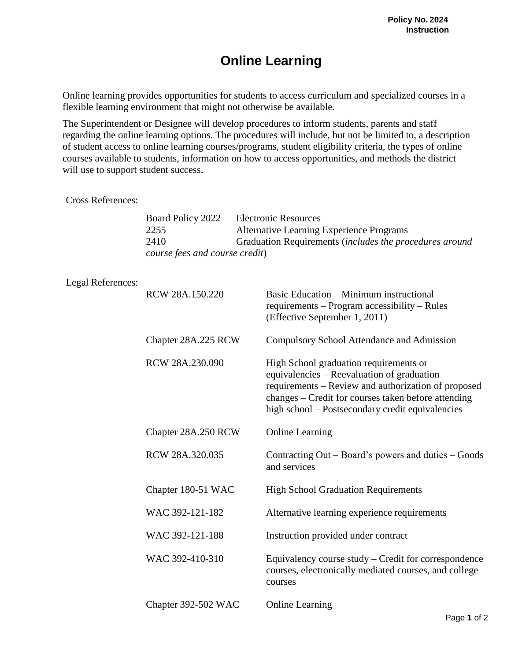## **Online Learning**

Online learning provides opportunities for students to access curriculum and specialized courses in a flexible learning environment that might not otherwise be available.

The Superintendent or Designee will develop procedures to inform students, parents and staff regarding the online learning options. The procedures will include, but not be limited to, a description of student access to online learning courses/programs, student eligibility criteria, the types of online courses available to students, information on how to access opportunities, and methods the district will use to support student success.

## Cross References:

| Board Policy 2022              | <b>Electronic Resources</b>                             |  |  |
|--------------------------------|---------------------------------------------------------|--|--|
| 2255                           | Alternative Learning Experience Programs                |  |  |
| 2410                           | Graduation Requirements (includes the procedures around |  |  |
| course fees and course credit) |                                                         |  |  |

## Legal References:

| RCW 28A.150.220     | Basic Education – Minimum instructional<br>requirements – Program accessibility – Rules<br>(Effective September 1, 2011)                                                                                                                               |
|---------------------|--------------------------------------------------------------------------------------------------------------------------------------------------------------------------------------------------------------------------------------------------------|
| Chapter 28A.225 RCW | <b>Compulsory School Attendance and Admission</b>                                                                                                                                                                                                      |
| RCW 28A.230.090     | High School graduation requirements or<br>equivalencies – Reevaluation of graduation<br>requirements – Review and authorization of proposed<br>changes – Credit for courses taken before attending<br>high school – Postsecondary credit equivalencies |
| Chapter 28A.250 RCW | <b>Online Learning</b>                                                                                                                                                                                                                                 |
| RCW 28A.320.035     | Contracting Out – Board's powers and duties – Goods<br>and services                                                                                                                                                                                    |
| Chapter 180-51 WAC  | <b>High School Graduation Requirements</b>                                                                                                                                                                                                             |
| WAC 392-121-182     | Alternative learning experience requirements                                                                                                                                                                                                           |
| WAC 392-121-188     | Instruction provided under contract                                                                                                                                                                                                                    |
| WAC 392-410-310     | Equivalency course study – Credit for correspondence<br>courses, electronically mediated courses, and college<br>courses                                                                                                                               |
| Chapter 392-502 WAC | <b>Online Learning</b>                                                                                                                                                                                                                                 |